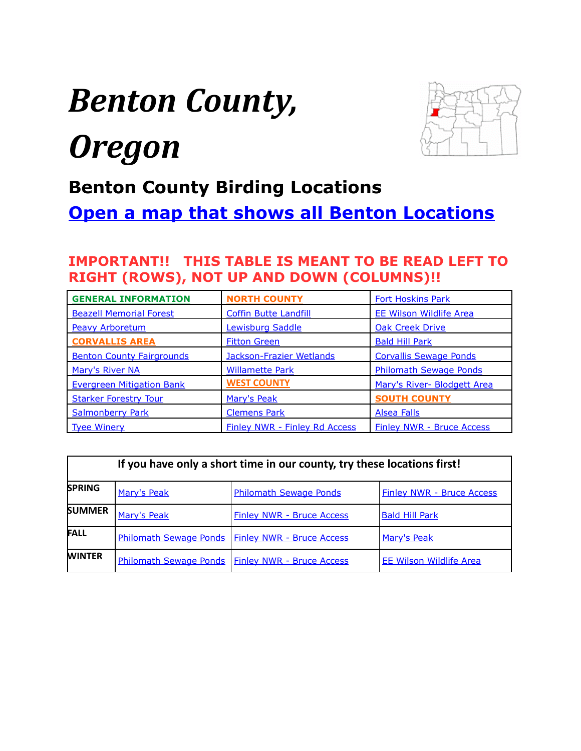# <span id="page-0-0"></span>*Benton County, Oregon*



## **Benton County Birding Locations**

**[Open a map that shows all Benton Locations](https://drive.google.com/open?id=1XM8UdyMLWSyeAYxo1Qs9ErU8NoU&usp=sharing)**

### **IMPORTANT!! THIS TABLE IS MEANT TO BE READ LEFT TO RIGHT (ROWS), NOT UP AND DOWN (COLUMNS)!!**

| <b>GENERAL INFORMATION</b>       | <b>NORTH COUNTY</b>                  | <b>Fort Hoskins Park</b>         |
|----------------------------------|--------------------------------------|----------------------------------|
| <b>Beazell Memorial Forest</b>   | <b>Coffin Butte Landfill</b>         | <b>EE Wilson Wildlife Area</b>   |
| <b>Peavy Arboretum</b>           | <b>Lewisburg Saddle</b>              | <b>Oak Creek Drive</b>           |
| <b>CORVALLIS AREA</b>            | <b>Fitton Green</b>                  | <b>Bald Hill Park</b>            |
| <b>Benton County Fairgrounds</b> | Jackson-Frazier Wetlands             | <b>Corvallis Sewage Ponds</b>    |
| <b>Mary's River NA</b>           | <b>Willamette Park</b>               | <b>Philomath Sewage Ponds</b>    |
| <b>Evergreen Mitigation Bank</b> | <b>WEST COUNTY</b>                   | Mary's River- Blodgett Area      |
| <b>Starker Forestry Tour</b>     | Mary's Peak                          | <b>SOUTH COUNTY</b>              |
| <b>Salmonberry Park</b>          | <b>Clemens Park</b>                  | Alsea Falls                      |
| <b>Tyee Winery</b>               | <b>Finley NWR - Finley Rd Access</b> | <b>Finley NWR - Bruce Access</b> |

| If you have only a short time in our county, try these locations first! |                               |                                                    |                                  |  |
|-------------------------------------------------------------------------|-------------------------------|----------------------------------------------------|----------------------------------|--|
| <b>SPRING</b>                                                           | Mary's Peak                   | <b>Philomath Sewage Ponds</b>                      | <b>Finley NWR - Bruce Access</b> |  |
| <b>SUMMER</b>                                                           | Mary's Peak                   | <b>Finley NWR - Bruce Access</b>                   | <b>Bald Hill Park</b>            |  |
| <b>FALL</b>                                                             |                               | Philomath Sewage Ponds   Finley NWR - Bruce Access | Mary's Peak                      |  |
| <b>WINTER</b>                                                           | <b>Philomath Sewage Ponds</b> | <b>Finley NWR - Bruce Access</b>                   | <b>EE Wilson Wildlife Area</b>   |  |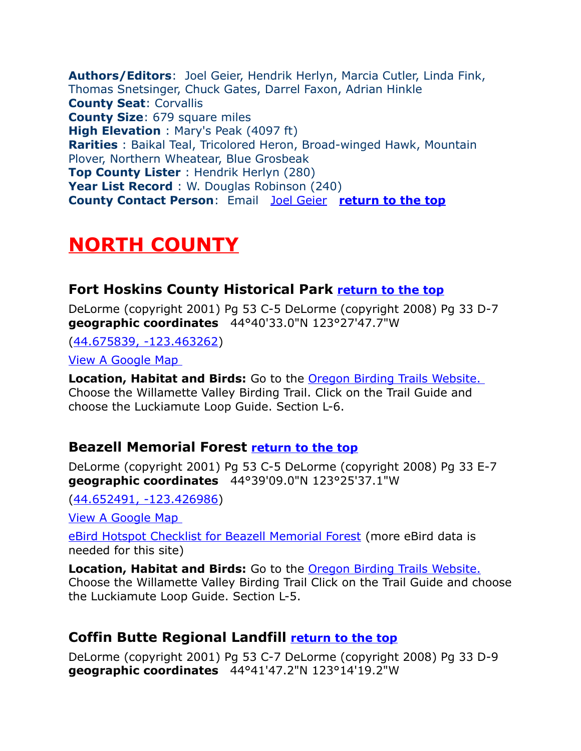<span id="page-1-4"></span>**Authors/Editors**: Joel Geier, Hendrik Herlyn, Marcia Cutler, Linda Fink, Thomas Snetsinger, Chuck Gates, Darrel Faxon, Adrian Hinkle **County Seat**: Corvallis **County Size**: 679 square miles **High Elevation** : Mary's Peak (4097 ft) **Rarities** : Baikal Teal, Tricolored Heron, Broad-winged Hawk, Mountain Plover, Northern Wheatear, Blue Grosbeak **Top County Lister** : Hendrik Herlyn (280) **Year List Record** : W. Douglas Robinson (240) **County Contact Person**: Email [Joel Geier](mailto:joel.geier@peak.org) **[return to the top](#page-0-0)**

## <span id="page-1-3"></span>**NORTH COUNTY**

#### <span id="page-1-2"></span>**Fort Hoskins County Historical Park [return to the top](#page-0-0)**

DeLorme (copyright 2001) Pg 53 C-5 DeLorme (copyright 2008) Pg 33 D-7 **geographic coordinates** 44°40'33.0"N 123°27'47.7"W

[\(44.675839, -123.463262\)](https://www.google.com/maps/place/44%C2%B040)

[View A Google Map](http://maps.google.com/maps/ms?hl=en&ie=UTF8&msa=0&ll=44.604157,-123.239822&spn=0.383765,1.055374&z=11&msid=108036481085398338899.00046d748da35c0ea8e53) 

**Location, Habitat and Birds:** Go to the [Oregon Birding Trails Website.](http://www.oregonbirdingtrails.org/) Choose the Willamette Valley Birding Trail. Click on the Trail Guide and choose the Luckiamute Loop Guide. Section L-6.

#### <span id="page-1-1"></span>**Beazell Memorial Forest [return to the top](#page-0-0)**

DeLorme (copyright 2001) Pg 53 C-5 DeLorme (copyright 2008) Pg 33 E-7 **geographic coordinates** 44°39'09.0"N 123°25'37.1"W

[\(44.652491, -123.426986\)](https://www.google.com/maps/place/44%C2%B039)

[View A Google Map](http://maps.google.com/maps/ms?hl=en&ie=UTF8&msa=0&ll=44.604157,-123.239822&spn=0.383765,1.055374&z=11&msid=108036481085398338899.00046d748da35c0ea8e53) 

[eBird Hotspot Checklist for Beazell Memorial Forest](http://ebird.org/ebird/hotspot/L1679190) (more eBird data is needed for this site)

**Location, Habitat and Birds:** Go to the [Oregon Birding Trails Website.](http://www.oregonbirdingtrails.org/) Choose the Willamette Valley Birding Trail Click on the Trail Guide and choose the Luckiamute Loop Guide. Section L-5.

## <span id="page-1-0"></span>**Coffin Butte Regional Landfill [return to the top](#page-0-0)**

DeLorme (copyright 2001) Pg 53 C-7 DeLorme (copyright 2008) Pg 33 D-9 **geographic coordinates** 44°41'47.2"N 123°14'19.2"W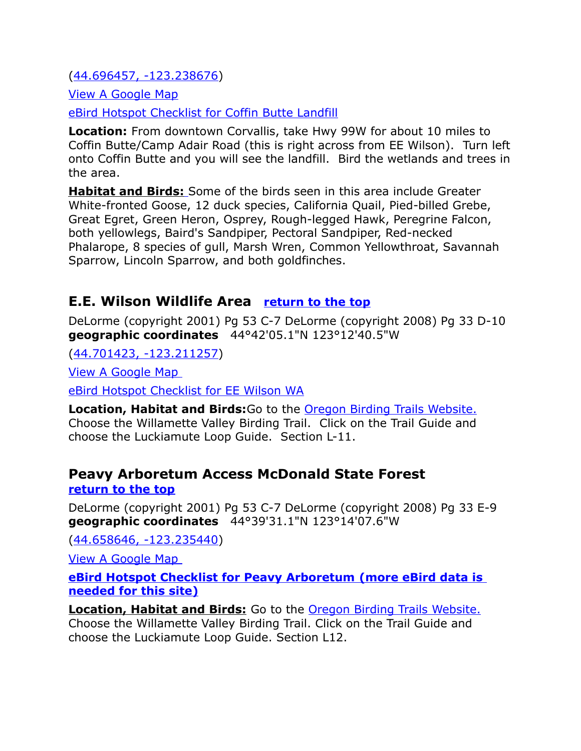[\(44.696457, -123.238676\)](https://www.google.com/maps/place/44%C2%B041)

[View A Google Map](http://maps.google.com/maps/ms?hl=en&ie=UTF8&msa=0&ll=44.604157,-123.239822&spn=0.383765,1.055374&z=11&msid=108036481085398338899.00046d748da35c0ea8e53)

[eBird Hotspot Checklist for Coffin Butte Landfill](http://ebird.org/ebird/hotspot/L675783)

**Location:** From downtown Corvallis, take Hwy 99W for about 10 miles to Coffin Butte/Camp Adair Road (this is right across from EE Wilson). Turn left onto Coffin Butte and you will see the landfill. Bird the wetlands and trees in the area.

 **Habitat and Birds:** Some of the birds seen in this area include Greater White-fronted Goose, 12 duck species, California Quail, Pied-billed Grebe, Great Egret, Green Heron, Osprey, Rough-legged Hawk, Peregrine Falcon, both yellowlegs, Baird's Sandpiper, Pectoral Sandpiper, Red-necked Phalarope, 8 species of gull, Marsh Wren, Common Yellowthroat, Savannah Sparrow, Lincoln Sparrow, and both goldfinches.

#### <span id="page-2-0"></span>**E.E. Wilson Wildlife Area [return to the top](#page-0-0)**

DeLorme (copyright 2001) Pg 53 C-7 DeLorme (copyright 2008) Pg 33 D-10 **geographic coordinates** 44°42'05.1"N 123°12'40.5"W

[\(44.701423, -123.211257\)](https://www.google.com/maps/place/44%C2%B042)

[View A Google Map](http://maps.google.com/maps/ms?hl=en&ie=UTF8&msa=0&ll=44.604157,-123.239822&spn=0.383765,1.055374&z=10&msid=108036481085398338899.00046d748da35c0ea8e53) 

[eBird Hotspot Checklist for EE Wilson WA](http://ebird.org/ebird/hotspot/L468463)

**Location, Habitat and Birds:**Go to the [Oregon Birding Trails Website.](http://www.oregonbirdingtrails.org/) Choose the Willamette Valley Birding Trail. Click on the Trail Guide and choose the Luckiamute Loop Guide. Section L-11.

#### <span id="page-2-1"></span>**Peavy Arboretum Access McDonald State Forest [return to the top](#page-0-0)**

DeLorme (copyright 2001) Pg 53 C-7 DeLorme (copyright 2008) Pg 33 E-9 **geographic coordinates** 44°39'31.1"N 123°14'07.6"W

[\(44.658646, -123.235440\)](https://www.google.com/maps/place/44%C2%B039)

[View A Google Map](http://maps.google.com/maps/ms?hl=en&ie=UTF8&msa=0&ll=44.604157,-123.239822&spn=0.383765,1.055374&z=11&msid=108036481085398338899.00046d748da35c0ea8e53) 

 **[eBird Hotspot Checklist for Peavy Arboretum](http://ebird.org/ebird/hotspot/L1138949) (more eBird data is needed for this site)**

**Location, Habitat and Birds:** Go to the **Oregon Birding Trails Website.** Choose the Willamette Valley Birding Trail. Click on the Trail Guide and choose the Luckiamute Loop Guide. Section L12.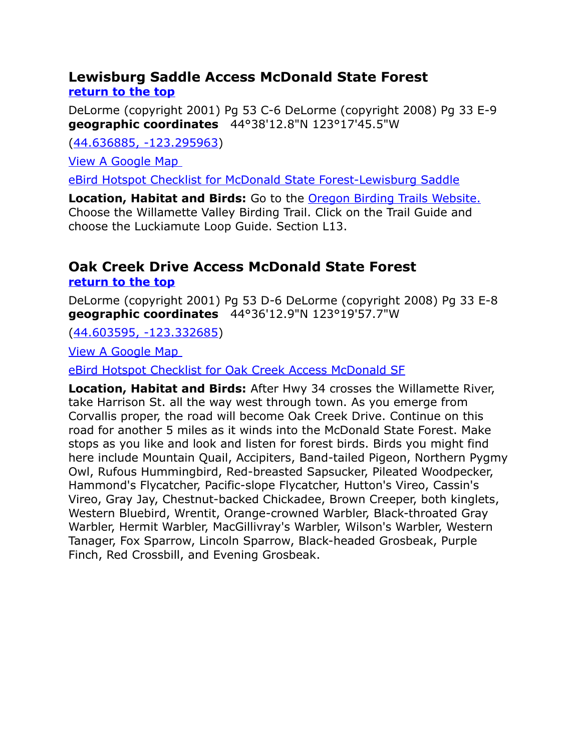#### <span id="page-3-1"></span>**Lewisburg Saddle Access McDonald State Forest [return to the top](#page-0-0)**

DeLorme (copyright 2001) Pg 53 C-6 DeLorme (copyright 2008) Pg 33 E-9 **geographic coordinates** 44°38'12.8"N 123°17'45.5"W

[\(44.636885, -123.295963\)](https://www.google.com/maps/place/44%C2%B038)

[View A Google Map](http://maps.google.com/maps/ms?hl=en&ie=UTF8&msa=0&ll=44.604157,-123.239822&spn=0.383765,1.055374&z=11&msid=108036481085398338899.00046d748da35c0ea8e53) 

[eBird Hotspot Checklist for McDonald State Forest-Lewisburg Saddle](http://ebird.org/ebird/hotspot/L956588)

**Location, Habitat and Birds:** Go to the [Oregon Birding Trails Website.](http://www.oregonbirdingtrails.org/) Choose the Willamette Valley Birding Trail. Click on the Trail Guide and choose the Luckiamute Loop Guide. Section L13.

# <span id="page-3-0"></span>**Oak Creek Drive Access McDonald State Forest**

**[return to the top](#page-0-0)**

DeLorme (copyright 2001) Pg 53 D-6 DeLorme (copyright 2008) Pg 33 E-8 **geographic coordinates** 44°36'12.9"N 123°19'57.7"W

[\(44.603595, -123.332685\)](https://www.google.com/maps/place/44%C2%B036)

[View A Google Map](http://maps.google.com/maps/ms?hl=en&ie=UTF8&msa=0&ll=44.604157,-123.239822&spn=0.383765,1.055374&z=11&msid=108036481085398338899.00046d748da35c0ea8e53) 

[eBird Hotspot Checklist for Oak Creek Access McDonald SF](http://ebird.org/ebird/hotspot/L512719)

**Location, Habitat and Birds:** After Hwy 34 crosses the Willamette River, take Harrison St. all the way west through town. As you emerge from Corvallis proper, the road will become Oak Creek Drive. Continue on this road for another 5 miles as it winds into the McDonald State Forest. Make stops as you like and look and listen for forest birds. Birds you might find here include Mountain Quail, Accipiters, Band-tailed Pigeon, Northern Pygmy Owl, Rufous Hummingbird, Red-breasted Sapsucker, Pileated Woodpecker, Hammond's Flycatcher, Pacific-slope Flycatcher, Hutton's Vireo, Cassin's Vireo, Gray Jay, Chestnut-backed Chickadee, Brown Creeper, both kinglets, Western Bluebird, Wrentit, Orange-crowned Warbler, Black-throated Gray Warbler, Hermit Warbler, MacGillivray's Warbler, Wilson's Warbler, Western Tanager, Fox Sparrow, Lincoln Sparrow, Black-headed Grosbeak, Purple Finch, Red Crossbill, and Evening Grosbeak.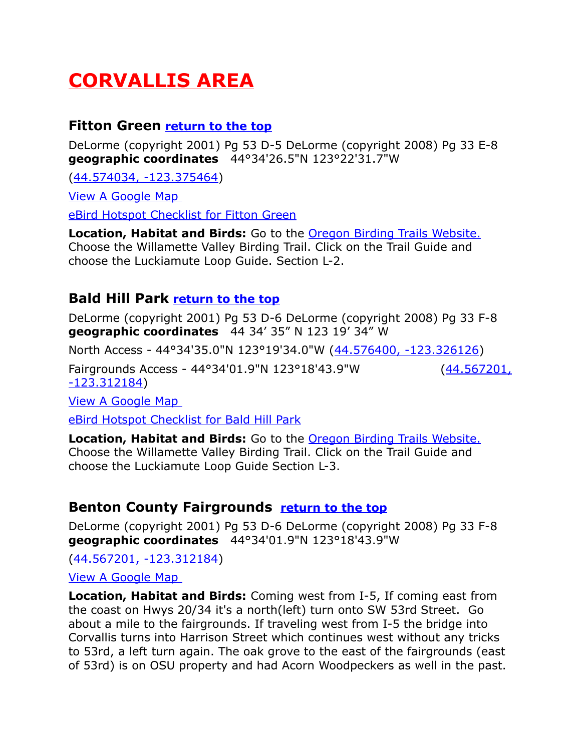# <span id="page-4-3"></span>**CORVALLIS AREA**

#### <span id="page-4-2"></span>**Fitton Green [return to the top](#page-0-0)**

DeLorme (copyright 2001) Pg 53 D-5 DeLorme (copyright 2008) Pg 33 E-8 **geographic coordinates** 44°34'26.5"N 123°22'31.7"W

[\(44.574034, -123.375464\)](https://www.google.com/maps/place/44%C2%B034)

[View A Google Map](http://maps.google.com/maps/ms?hl=en&ie=UTF8&msa=0&ll=44.604157,-123.239822&spn=0.383765,1.055374&z=11&msid=108036481085398338899.00046d748da35c0ea8e53) 

[eBird Hotspot Checklist for Fitton Green](http://ebird.org/ebird/hotspot/L1424066)

**Location, Habitat and Birds:** Go to the [Oregon Birding Trails Website.](http://www.oregonbirdingtrails.org/)  Choose the Willamette Valley Birding Trail. Click on the Trail Guide and choose the Luckiamute Loop Guide. Section L-2.

#### <span id="page-4-0"></span>**Bald Hill Park [return to the top](#page-0-0)**

DeLorme (copyright 2001) Pg 53 D-6 DeLorme (copyright 2008) Pg 33 F-8 **geographic coordinates** 44 34' 35" N 123 19' 34" W

North Access - 44°34'35.0"N 123°19'34.0"W [\(44.576400, -123.326126\)](https://www.google.com/maps/place/44%C2%B034)

Fairgrounds Access - 44°34'01.9"N 123°18'43.9"W [\(44.567201,](https://www.google.com/maps/place/44%C2%B034) [-123.312184\)](https://www.google.com/maps/place/44%C2%B034)

[View A Google Map](http://maps.google.com/maps/ms?hl=en&ie=UTF8&msa=0&ll=44.604157,-123.239822&spn=0.383765,1.055374&z=11&msid=108036481085398338899.00046d748da35c0ea8e53) 

[eBird Hotspot Checklist for Bald Hill Park](http://ebird.org/ebird/hotspot/L684731)

**Location, Habitat and Birds:** Go to the [Oregon Birding Trails Website.](http://www.oregonbirdingtrails.org/)  Choose the Willamette Valley Birding Trail. Click on the Trail Guide and choose the Luckiamute Loop Guide Section L-3.

#### <span id="page-4-1"></span>**Benton County Fairgrounds [return to the top](#page-0-0)**

DeLorme (copyright 2001) Pg 53 D-6 DeLorme (copyright 2008) Pg 33 F-8 **geographic coordinates** 44°34'01.9"N 123°18'43.9"W

[\(44.567201, -123.312184\)](https://www.google.com/maps/place/44%C2%B034)

[View A Google Map](http://maps.google.com/maps/ms?hl=en&ie=UTF8&msa=0&ll=44.604157,-123.239822&spn=0.383765,1.055374&z=11&msid=108036481085398338899.00046d748da35c0ea8e53) 

**Location, Habitat and Birds:** Coming west from I-5, If coming east from the coast on Hwys 20/34 it's a north(left) turn onto SW 53rd Street. Go about a mile to the fairgrounds. If traveling west from I-5 the bridge into Corvallis turns into Harrison Street which continues west without any tricks to 53rd, a left turn again. The oak grove to the east of the fairgrounds (east of 53rd) is on OSU property and had Acorn Woodpeckers as well in the past.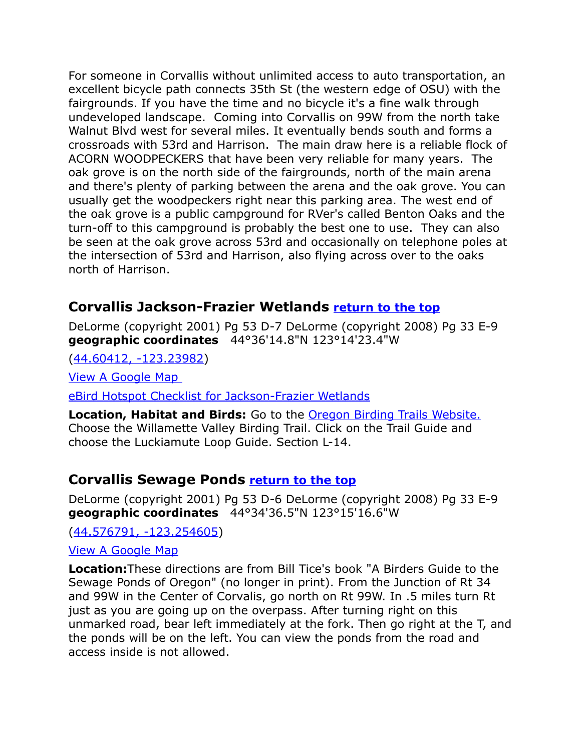For someone in Corvallis without unlimited access to auto transportation, an excellent bicycle path connects 35th St (the western edge of OSU) with the fairgrounds. If you have the time and no bicycle it's a fine walk through undeveloped landscape. Coming into Corvallis on 99W from the north take Walnut Blvd west for several miles. It eventually bends south and forms a crossroads with 53rd and Harrison. The main draw here is a reliable flock of ACORN WOODPECKERS that have been very reliable for many years. The oak grove is on the north side of the fairgrounds, north of the main arena and there's plenty of parking between the arena and the oak grove. You can usually get the woodpeckers right near this parking area. The west end of the oak grove is a public campground for RVer's called Benton Oaks and the turn-off to this campground is probably the best one to use. They can also be seen at the oak grove across 53rd and occasionally on telephone poles at the intersection of 53rd and Harrison, also flying across over to the oaks north of Harrison.

#### <span id="page-5-1"></span>**Corvallis Jackson-Frazier Wetlands [return to the top](#page-0-0)**

DeLorme (copyright 2001) Pg 53 D-7 DeLorme (copyright 2008) Pg 33 E-9 **geographic coordinates** 44°36'14.8"N 123°14'23.4"W

[\(44.60412, -123.23982\)](https://www.google.com/maps/place/44%C2%B036)

[View A Google Map](http://maps.google.com/maps/ms?hl=en&ie=UTF8&msa=0&ll=44.604157,-123.239822&spn=0.383765,1.055374&z=11&msid=108036481085398338899.00046d748da35c0ea8e53) 

[eBird Hotspot Checklist for Jackson-Frazier Wetlands](http://ebird.org/ebird/hotspot/L744337)

**Location, Habitat and Birds:** Go to the [Oregon Birding Trails Website.](http://www.oregonbirdingtrails.org/) Choose the Willamette Valley Birding Trail. Click on the Trail Guide and choose the Luckiamute Loop Guide. Section L-14.

#### <span id="page-5-0"></span>**Corvallis Sewage Ponds [return to the top](#page-0-0)**

DeLorme (copyright 2001) Pg 53 D-6 DeLorme (copyright 2008) Pg 33 E-9 **geographic coordinates** 44°34'36.5"N 123°15'16.6"W

[\(44.576791, -123.254605\)](https://www.google.com/maps/place/44%C2%B034)

#### [View A Google Map](http://maps.google.com/maps/ms?hl=en&ie=UTF8&msa=0&ll=44.604157,-123.239822&spn=0.383765,1.055374&z=11&msid=108036481085398338899.00046d748da35c0ea8e53)

**Location:**These directions are from Bill Tice's book "A Birders Guide to the Sewage Ponds of Oregon" (no longer in print). From the Junction of Rt 34 and 99W in the Center of Corvalis, go north on Rt 99W. In .5 miles turn Rt just as you are going up on the overpass. After turning right on this unmarked road, bear left immediately at the fork. Then go right at the T, and the ponds will be on the left. You can view the ponds from the road and access inside is not allowed.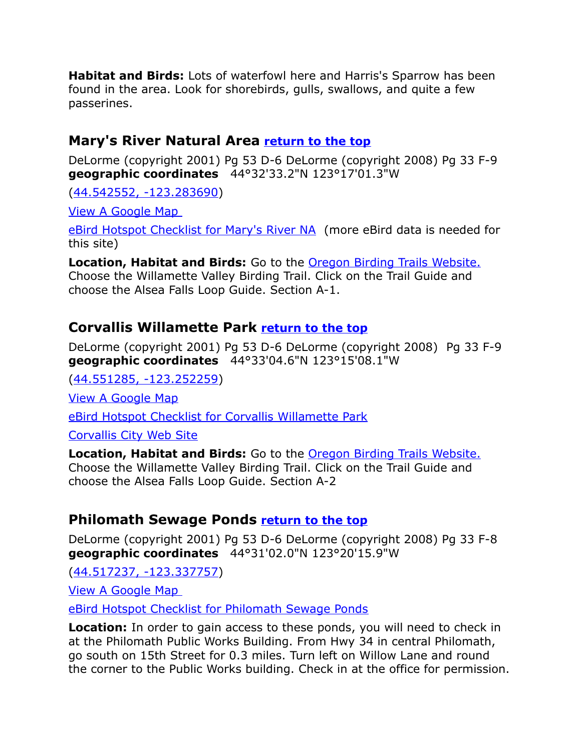**Habitat and Birds:** Lots of waterfowl here and Harris's Sparrow has been found in the area. Look for shorebirds, gulls, swallows, and quite a few passerines.

#### <span id="page-6-2"></span>**Mary's River Natural Area [return to the top](#page-0-0)**

DeLorme (copyright 2001) Pg 53 D-6 DeLorme (copyright 2008) Pg 33 F-9 **geographic coordinates** 44°32'33.2"N 123°17'01.3"W

[\(44.542552, -123.283690\)](https://www.google.com/maps/place/44%C2%B032)

[View A Google Map](http://maps.google.com/maps/ms?ie=UTF8&hl=en&msa=0&ll=44.468581,-123.3284&spn=0.385639,1.055374&z=11&msid=108036481085398338899.00046d6e57393b746a78a) 

[eBird Hotspot Checklist for Mary's River NA](http://ebird.org/ebird/hotspot/L1158042) (more eBird data is needed for this site)

**Location, Habitat and Birds:** Go to the [Oregon Birding Trails Website.](http://www.oregonbirdingtrails.org/) Choose the Willamette Valley Birding Trail. Click on the Trail Guide and choose the Alsea Falls Loop Guide. Section A-1.

#### <span id="page-6-1"></span>**Corvallis Willamette Park [return to the top](#page-0-0)**

DeLorme (copyright 2001) Pg 53 D-6 DeLorme (copyright 2008) Pg 33 F-9 **geographic coordinates** 44°33'04.6"N 123°15'08.1"W

[\(44.551285, -123.252259\)](https://www.google.com/maps/place/44%C2%B033)

[View A Google Map](http://maps.google.com/maps/ms?ie=UTF8&hl=en&msa=0&ll=44.468581,-123.3284&spn=0.385639,1.055374&z=11&msid=108036481085398338899.00046d6e57393b746a78a)

[eBird Hotspot Checklist for Corvallis Willamette Park](http://ebird.org/ebird/hotspot/L807150)

[Corvallis City Web Site](http://www.corvallisoregon.gov/)

**Location, Habitat and Birds:** Go to the [Oregon Birding Trails Website.](http://www.oregonbirdingtrails.org/) Choose the Willamette Valley Birding Trail. Click on the Trail Guide and choose the Alsea Falls Loop Guide. Section A-2

#### <span id="page-6-0"></span>**Philomath Sewage Ponds [return to the top](#page-0-0)**

DeLorme (copyright 2001) Pg 53 D-6 DeLorme (copyright 2008) Pg 33 F-8 **geographic coordinates** 44°31'02.0"N 123°20'15.9"W

[\(44.517237, -123.337757\)](https://www.google.com/maps/place/44%C2%B031)

[View A Google Map](http://maps.google.com/maps/ms?hl=en&ie=UTF8&msa=0&msid=108036481085398338899.00047966f2637ce617850&ll=44.515359,-123.352432&spn=0.16084,0.349846&z=12) 

[eBird Hotspot Checklist for Philomath Sewage Ponds](http://ebird.org/ebird/hotspot/L493044)

**Location:** In order to gain access to these ponds, you will need to check in at the Philomath Public Works Building. From Hwy 34 in central Philomath, go south on 15th Street for 0.3 miles. Turn left on Willow Lane and round the corner to the Public Works building. Check in at the office for permission.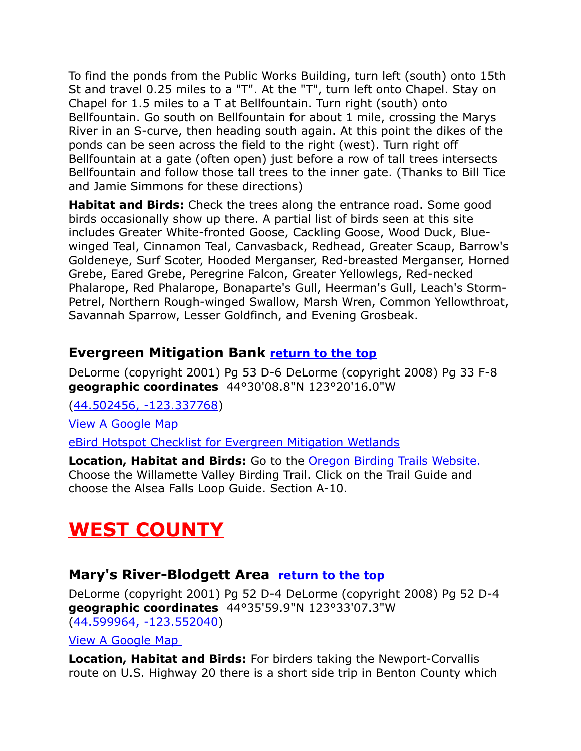To find the ponds from the Public Works Building, turn left (south) onto 15th St and travel 0.25 miles to a "T". At the "T", turn left onto Chapel. Stay on Chapel for 1.5 miles to a T at Bellfountain. Turn right (south) onto Bellfountain. Go south on Bellfountain for about 1 mile, crossing the Marys River in an S-curve, then heading south again. At this point the dikes of the ponds can be seen across the field to the right (west). Turn right off Bellfountain at a gate (often open) just before a row of tall trees intersects Bellfountain and follow those tall trees to the inner gate. (Thanks to Bill Tice and Jamie Simmons for these directions)

**Habitat and Birds:** Check the trees along the entrance road. Some good birds occasionally show up there. A partial list of birds seen at this site includes Greater White-fronted Goose, Cackling Goose, Wood Duck, Bluewinged Teal, Cinnamon Teal, Canvasback, Redhead, Greater Scaup, Barrow's Goldeneye, Surf Scoter, Hooded Merganser, Red-breasted Merganser, Horned Grebe, Eared Grebe, Peregrine Falcon, Greater Yellowlegs, Red-necked Phalarope, Red Phalarope, Bonaparte's Gull, Heerman's Gull, Leach's Storm-Petrel, Northern Rough-winged Swallow, Marsh Wren, Common Yellowthroat, Savannah Sparrow, Lesser Goldfinch, and Evening Grosbeak.

## <span id="page-7-2"></span>**Evergreen Mitigation Bank [return to the top](#page-0-0)**

DeLorme (copyright 2001) Pg 53 D-6 DeLorme (copyright 2008) Pg 33 F-8 **geographic coordinates** 44°30'08.8"N 123°20'16.0"W

[\(44.502456, -123.337768\)](https://www.google.com/maps/place/44%C2%B030)

[View A Google Map](http://maps.google.com/maps/ms?ie=UTF8&hl=en&msa=0&ll=44.468581,-123.3284&spn=0.385639,1.055374&z=11&msid=108036481085398338899.00046d6e57393b746a78a) 

[eBird Hotspot Checklist for Evergreen Mitigation Wetlands](http://ebird.org/ebird/hotspot/L493040)

**Location, Habitat and Birds:** Go to the [Oregon Birding Trails Website.](http://www.oregonbirdingtrails.org/) Choose the Willamette Valley Birding Trail. Click on the Trail Guide and choose the Alsea Falls Loop Guide. Section A-10.

# <span id="page-7-1"></span>**WEST COUNTY**

#### <span id="page-7-0"></span>**Mary's River-Blodgett Area [return to the top](#page-0-0)**

DeLorme (copyright 2001) Pg 52 D-4 DeLorme (copyright 2008) Pg 52 D-4 **geographic coordinates** 44°35'59.9"N 123°33'07.3"W [\(44.599964, -123.552040\)](https://www.google.com/maps/place/44%C2%B035)

[View A Google Map](http://maps.google.com/maps/ms?hl=en&ie=UTF8&msa=0&ll=44.604157,-123.239822&spn=0.383765,1.055374&z=11&msid=108036481085398338899.00046d748da35c0ea8e53) 

**Location, Habitat and Birds:** For birders taking the Newport-Corvallis route on U.S. Highway 20 there is a short side trip in Benton County which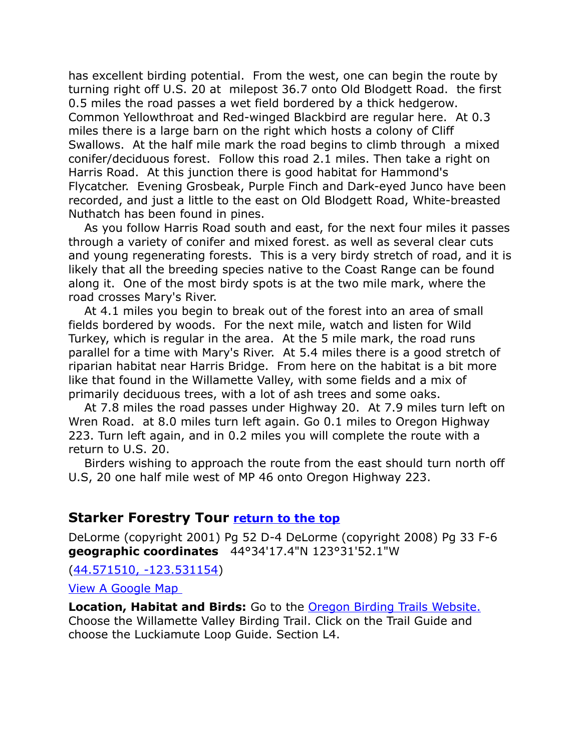has excellent birding potential. From the west, one can begin the route by turning right off U.S. 20 at milepost 36.7 onto Old Blodgett Road. the first 0.5 miles the road passes a wet field bordered by a thick hedgerow. Common Yellowthroat and Red-winged Blackbird are regular here. At 0.3 miles there is a large barn on the right which hosts a colony of Cliff Swallows. At the half mile mark the road begins to climb through a mixed conifer/deciduous forest. Follow this road 2.1 miles. Then take a right on Harris Road. At this junction there is good habitat for Hammond's Flycatcher. Evening Grosbeak, Purple Finch and Dark-eyed Junco have been recorded, and just a little to the east on Old Blodgett Road, White-breasted Nuthatch has been found in pines.

As you follow Harris Road south and east, for the next four miles it passes through a variety of conifer and mixed forest. as well as several clear cuts and young regenerating forests. This is a very birdy stretch of road, and it is likely that all the breeding species native to the Coast Range can be found along it. One of the most birdy spots is at the two mile mark, where the road crosses Mary's River.

At 4.1 miles you begin to break out of the forest into an area of small fields bordered by woods. For the next mile, watch and listen for Wild Turkey, which is regular in the area. At the 5 mile mark, the road runs parallel for a time with Mary's River. At 5.4 miles there is a good stretch of riparian habitat near Harris Bridge. From here on the habitat is a bit more like that found in the Willamette Valley, with some fields and a mix of primarily deciduous trees, with a lot of ash trees and some oaks.

At 7.8 miles the road passes under Highway 20. At 7.9 miles turn left on Wren Road. at 8.0 miles turn left again. Go 0.1 miles to Oregon Highway 223. Turn left again, and in 0.2 miles you will complete the route with a return to U.S. 20.

Birders wishing to approach the route from the east should turn north off U.S, 20 one half mile west of MP 46 onto Oregon Highway 223.

#### <span id="page-8-0"></span>**Starker Forestry Tour [return to the top](#page-0-0)**

DeLorme (copyright 2001) Pg 52 D-4 DeLorme (copyright 2008) Pg 33 F-6 **geographic coordinates** 44°34'17.4"N 123°31'52.1"W

[\(44.571510, -123.531154\)](https://www.google.com/maps/place/44%C2%B034)

[View A Google Map](http://maps.google.com/maps/ms?hl=en&ie=UTF8&msa=0&ll=44.604157,-123.239822&spn=0.383765,1.055374&z=11&msid=108036481085398338899.00046d748da35c0ea8e53) 

**Location, Habitat and Birds:** Go to the [Oregon Birding Trails Website.](http://www.oregonbirdingtrails.org/) Choose the Willamette Valley Birding Trail. Click on the Trail Guide and choose the Luckiamute Loop Guide. Section L4.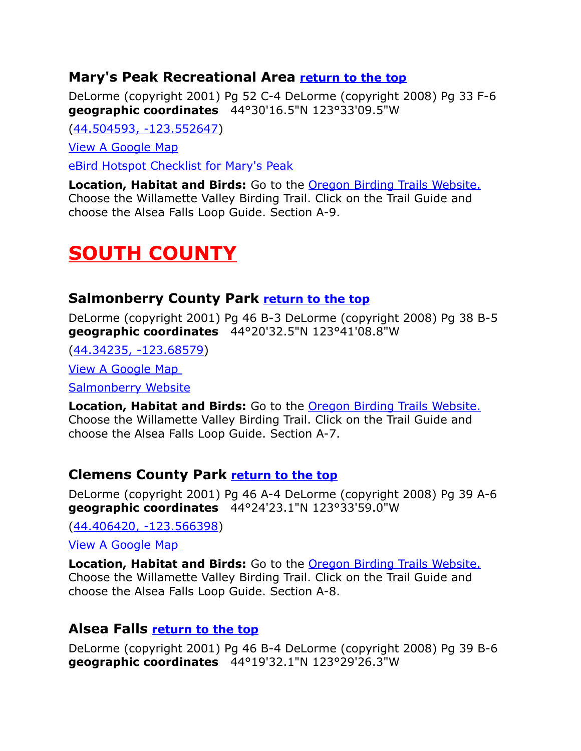#### <span id="page-9-0"></span>**Mary's Peak Recreational Area [return to the top](#page-0-0)**

DeLorme (copyright 2001) Pg 52 C-4 DeLorme (copyright 2008) Pg 33 F-6 **geographic coordinates** 44°30'16.5"N 123°33'09.5"W

[\(44.504593, -123.552647\)](https://www.google.com/maps/place/44%C2%B030)

[View A Google Map](http://maps.google.com/maps/ms?ie=UTF8&hl=en&msa=0&ll=44.509728,-123.502121&spn=0.321711,0.699692&z=11&msid=108036481085398338899.00047e01ee4e7298a3f89)

[eBird Hotspot Checklist for Mary's Peak](http://ebird.org/ebird/hotspot/L447448)

**Location, Habitat and Birds:** Go to the [Oregon Birding Trails Website.](http://www.oregonbirdingtrails.org/) Choose the Willamette Valley Birding Trail. Click on the Trail Guide and choose the Alsea Falls Loop Guide. Section A-9.

## <span id="page-9-3"></span>**SOUTH COUNTY**

#### <span id="page-9-2"></span>**Salmonberry County Park [return to the top](#page-0-0)**

DeLorme (copyright 2001) Pg 46 B-3 DeLorme (copyright 2008) Pg 38 B-5 **geographic coordinates** 44°20'32.5"N 123°41'08.8"W

[\(44.34235, -123.68579\)](https://www.google.com/maps/place/44%C2%B020)

[View A Google Map](http://maps.google.com/maps/ms?ie=UTF8&hl=en&msa=0&msid=108036481085398338899.00046d6f3012a4a59bdae&ll=44.408278,-123.344193&spn=0.780908,2.113495&z=10) 

[Salmonberry Website](https://www.co.benton.or.us/parks/page/salmonberry-campground)

**Location, Habitat and Birds:** Go to the [Oregon Birding Trails Website.](http://www.oregonbirdingtrails.org/) Choose the Willamette Valley Birding Trail. Click on the Trail Guide and choose the Alsea Falls Loop Guide. Section A-7.

#### **Clemens County Park [return to the top](#page-0-0)**

DeLorme (copyright 2001) Pg 46 A-4 DeLorme (copyright 2008) Pg 39 A-6 **geographic coordinates** 44°24'23.1"N 123°33'59.0"W

[\(44.406420, -123.566398\)](https://www.google.com/maps/place/44%C2%B024)

[View A Google Map](http://maps.google.com/maps/ms?ie=UTF8&hl=en&msa=0&msid=108036481085398338899.00046d6f3012a4a59bdae&ll=44.408278,-123.344193&spn=0.780908,2.113495&z=10) 

**Location, Habitat and Birds:** Go to the [Oregon Birding Trails Website.](http://www.oregonbirdingtrails.org/) Choose the Willamette Valley Birding Trail. Click on the Trail Guide and choose the Alsea Falls Loop Guide. Section A-8.

#### <span id="page-9-1"></span>**Alsea Falls [return to the top](#page-0-0)**

DeLorme (copyright 2001) Pg 46 B-4 DeLorme (copyright 2008) Pg 39 B-6 **geographic coordinates** 44°19'32.1"N 123°29'26.3"W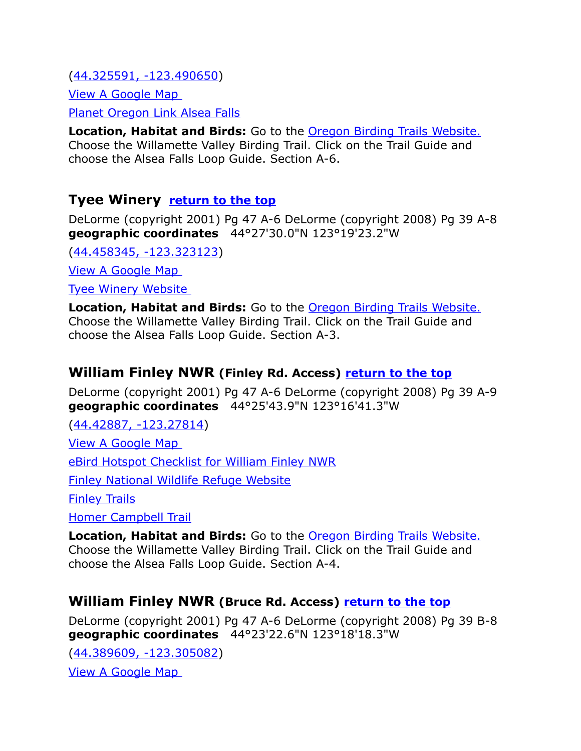[\(44.325591, -123.490650\)](https://www.google.com/maps/place/44%C2%B019) [View A Google Map](http://maps.google.com/maps/ms?ie=UTF8&hl=en&msa=0&msid=108036481085398338899.00046d6f3012a4a59bdae&ll=44.408278,-123.344193&spn=0.780908,2.113495&z=10) 

[Planet Oregon Link Alsea Falls](http://www.planetoregon.com/alsea_falls.html)

**Location, Habitat and Birds:** Go to the [Oregon Birding Trails Website.](http://www.oregonbirdingtrails.org/) Choose the Willamette Valley Birding Trail. Click on the Trail Guide and choose the Alsea Falls Loop Guide. Section A-6.

#### <span id="page-10-2"></span>**Tyee Winery [return to the top](#page-0-0)**

DeLorme (copyright 2001) Pg 47 A-6 DeLorme (copyright 2008) Pg 39 A-8 **geographic coordinates** 44°27'30.0"N 123°19'23.2"W

[\(44.458345, -123.323123\)](https://www.google.com/maps/place/44%C2%B027)

[View A Google Map](http://maps.google.com/maps/ms?ie=UTF8&hl=en&msa=0&ll=44.468581,-123.3284&spn=0.385639,1.055374&z=11&msid=108036481085398338899.00046d6e57393b746a78a) 

[Tyee Winery Website](http://www.tyeewine.com/) 

**Location, Habitat and Birds:** Go to the [Oregon Birding Trails Website.](http://www.oregonbirdingtrails.org/) Choose the Willamette Valley Birding Trail. Click on the Trail Guide and choose the Alsea Falls Loop Guide. Section A-3.

#### <span id="page-10-1"></span>**William Finley NWR (Finley Rd. Access) [return to the top](#page-0-0)**

DeLorme (copyright 2001) Pg 47 A-6 DeLorme (copyright 2008) Pg 39 A-9 **geographic coordinates** 44°25'43.9"N 123°16'41.3"W

[\(44.42887, -123.27814\)](https://www.google.com/maps/place/44%C2%B025)

[View A Google Map](http://maps.google.com/maps/ms?ie=UTF8&hl=en&msa=0&ll=44.468581,-123.3284&spn=0.385639,1.055374&z=11&msid=108036481085398338899.00046d6e57393b746a78a) 

[eBird Hotspot Checklist for William Finley NWR](http://ebird.org/ebird/hotspot/L159617)

[Finley National Wildlife Refuge Website](http://www.fws.gov/willamettevalley/finley/)

[Finley Trails](http://www.virtualtourist.com/travel/North_America/United_States_of_America/Oregon/William_Finley_National_Wildlife_Refuge-853713/TravelGuide-William_Finley_National_Wildlife_Refuge.html)

[Homer Campbell Trail](http://www.audubon.corvallis.or.us/homer.shtml)

**Location, Habitat and Birds:** Go to the [Oregon Birding Trails Website.](http://www.oregonbirdingtrails.org/) Choose the Willamette Valley Birding Trail. Click on the Trail Guide and choose the Alsea Falls Loop Guide. Section A-4.

## <span id="page-10-0"></span>**William Finley NWR (Bruce Rd. Access) [return to the top](#page-0-0)**

DeLorme (copyright 2001) Pg 47 A-6 DeLorme (copyright 2008) Pg 39 B-8 **geographic coordinates** 44°23'22.6"N 123°18'18.3"W

[\(44.389609, -123.305082\)](https://www.google.com/maps/place/44%C2%B023)

[View A Google Map](http://maps.google.com/maps/ms?ie=UTF8&hl=en&msa=0&ll=44.468581,-123.3284&spn=0.385639,1.055374&z=11&msid=108036481085398338899.00046d6e57393b746a78a)